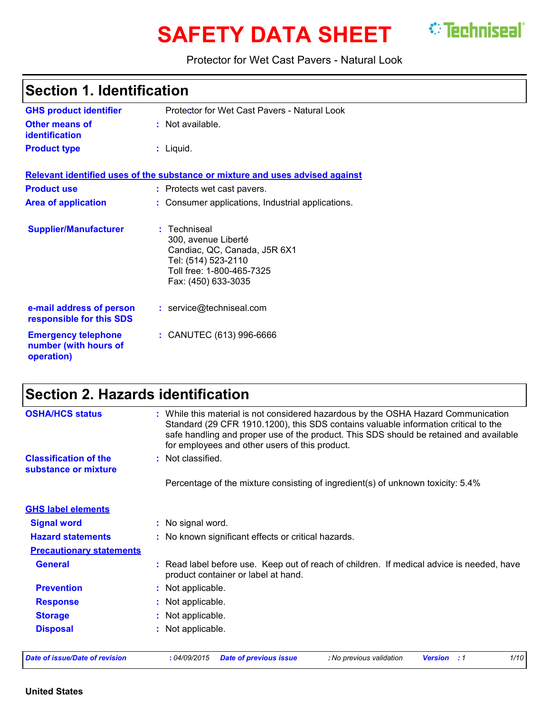# **SAFETY DATA SHEET** <sup>*©*</sup> Techniseal`</sup>

Protector for Wet Cast Pavers - Natural Look

| <b>Section 1. Identification</b>                                  |                                                                                                                                                |  |
|-------------------------------------------------------------------|------------------------------------------------------------------------------------------------------------------------------------------------|--|
| <b>GHS product identifier</b>                                     | Protector for Wet Cast Pavers - Natural Look                                                                                                   |  |
| Other means of<br><b>identification</b>                           | : Not available.                                                                                                                               |  |
| <b>Product type</b>                                               | $:$ Liquid.                                                                                                                                    |  |
|                                                                   | Relevant identified uses of the substance or mixture and uses advised against                                                                  |  |
| <b>Product use</b>                                                | : Protects wet cast pavers.                                                                                                                    |  |
| <b>Area of application</b>                                        | : Consumer applications, Industrial applications.                                                                                              |  |
| <b>Supplier/Manufacturer</b>                                      | : Techniseal<br>300, avenue Liberté<br>Candiac, QC, Canada, J5R 6X1<br>Tel: (514) 523-2110<br>Toll free: 1-800-465-7325<br>Fax: (450) 633-3035 |  |
| e-mail address of person<br>responsible for this SDS              | : service@techniseal.com                                                                                                                       |  |
| <b>Emergency telephone</b><br>number (with hours of<br>operation) | : CANUTEC (613) 996-6666                                                                                                                       |  |

## **Section 2. Hazards identification**

| <b>GHS label elements</b>       |                                                                                                                                |
|---------------------------------|--------------------------------------------------------------------------------------------------------------------------------|
| <b>Signal word</b>              | : No signal word.                                                                                                              |
| <b>Hazard statements</b>        | : No known significant effects or critical hazards.                                                                            |
| <b>Precautionary statements</b> |                                                                                                                                |
| <b>General</b>                  | Read label before use. Keep out of reach of children. If medical advice is needed, have<br>product container or label at hand. |
| <b>Prevention</b>               | Not applicable.                                                                                                                |
| <b>Response</b>                 | Not applicable.                                                                                                                |
| <b>Storage</b>                  | Not applicable.                                                                                                                |
| <b>Disposal</b>                 | Not applicable.                                                                                                                |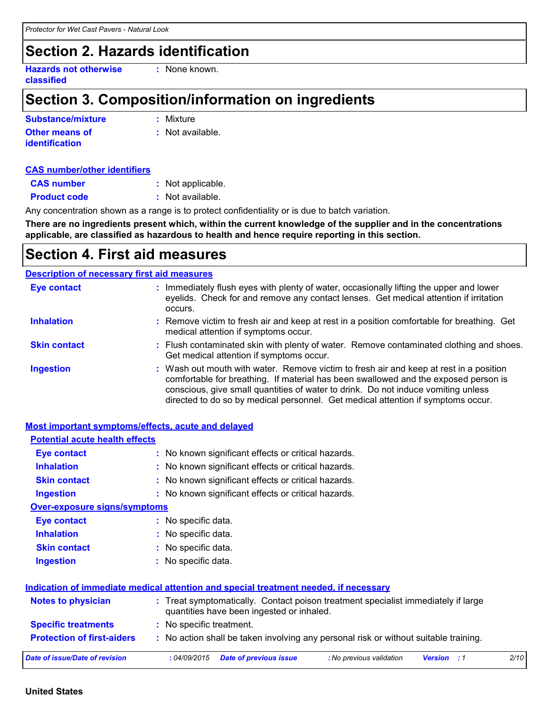## **Section 2. Hazards identification**

**Hazards not otherwise classified**

**:** None known.

## **Section 3. Composition/information on ingredients**

| Substance/mixture     | : Mixture        |
|-----------------------|------------------|
| <b>Other means of</b> | : Not available. |
| <b>identification</b> |                  |

#### **CAS number/other identifiers**

| <b>CAS number</b>   | : Not applicable. |
|---------------------|-------------------|
| <b>Product code</b> | : Not available.  |

Any concentration shown as a range is to protect confidentiality or is due to batch variation.

**There are no ingredients present which, within the current knowledge of the supplier and in the concentrations applicable, are classified as hazardous to health and hence require reporting in this section.**

### **Section 4. First aid measures**

#### **Description of necessary first aid measures**

| <b>Eye contact</b>  | : Immediately flush eyes with plenty of water, occasionally lifting the upper and lower<br>eyelids. Check for and remove any contact lenses. Get medical attention if irritation<br>occurs.                                                                                                                                                            |
|---------------------|--------------------------------------------------------------------------------------------------------------------------------------------------------------------------------------------------------------------------------------------------------------------------------------------------------------------------------------------------------|
| <b>Inhalation</b>   | : Remove victim to fresh air and keep at rest in a position comfortable for breathing. Get<br>medical attention if symptoms occur.                                                                                                                                                                                                                     |
| <b>Skin contact</b> | : Flush contaminated skin with plenty of water. Remove contaminated clothing and shoes.<br>Get medical attention if symptoms occur.                                                                                                                                                                                                                    |
| <b>Ingestion</b>    | : Wash out mouth with water. Remove victim to fresh air and keep at rest in a position<br>comfortable for breathing. If material has been swallowed and the exposed person is<br>conscious, give small quantities of water to drink. Do not induce vomiting unless<br>directed to do so by medical personnel. Get medical attention if symptoms occur. |

| <b>Most important symptoms/effects, acute and delayed</b> |                                                                                                                                |
|-----------------------------------------------------------|--------------------------------------------------------------------------------------------------------------------------------|
| <b>Potential acute health effects</b>                     |                                                                                                                                |
| <b>Eye contact</b>                                        | : No known significant effects or critical hazards.                                                                            |
| <b>Inhalation</b>                                         | : No known significant effects or critical hazards.                                                                            |
| <b>Skin contact</b>                                       | : No known significant effects or critical hazards.                                                                            |
| <b>Ingestion</b>                                          | : No known significant effects or critical hazards.                                                                            |
| <b>Over-exposure signs/symptoms</b>                       |                                                                                                                                |
| Eye contact                                               | : No specific data.                                                                                                            |
| <b>Inhalation</b>                                         | : No specific data.                                                                                                            |
| <b>Skin contact</b>                                       | : No specific data.                                                                                                            |
| <b>Ingestion</b>                                          | : No specific data.                                                                                                            |
|                                                           | Indication of immediate medical attention and special treatment needed, if necessary                                           |
| <b>Notes to physician</b>                                 | : Treat symptomatically. Contact poison treatment specialist immediately if large<br>quantities have been ingested or inhaled. |
| <b>Specific treatments</b>                                | : No specific treatment.                                                                                                       |
| <b>Protection of first-aiders</b>                         | : No action shall be taken involving any personal risk or without suitable training.                                           |
| <b>Date of issue/Date of revision</b>                     | 2/10<br>:04/09/2015<br><b>Date of previous issue</b><br>: No previous validation<br>Version<br>: 1                             |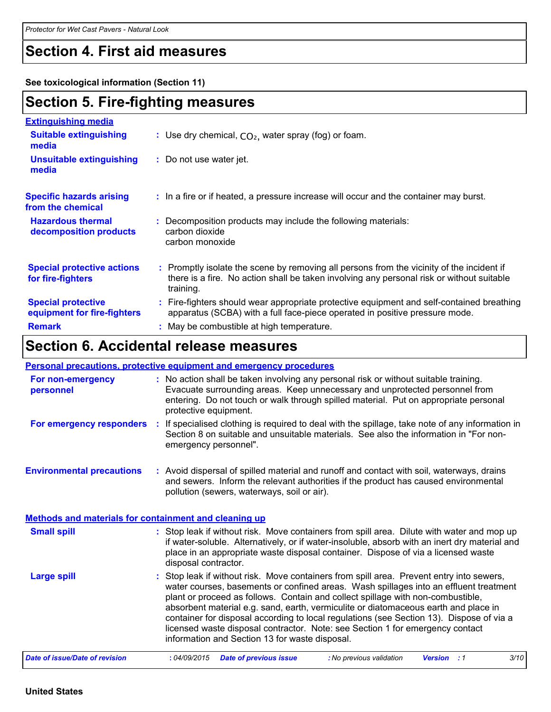## **Section 4. First aid measures**

**See toxicological information (Section 11)**

### **Section 5. Fire-fighting measures**

| <b>Extinguishing media</b>                               |                                                                                                                                                                                                     |
|----------------------------------------------------------|-----------------------------------------------------------------------------------------------------------------------------------------------------------------------------------------------------|
| <b>Suitable extinguishing</b><br>media                   | : Use dry chemical, $CO2$ , water spray (fog) or foam.                                                                                                                                              |
| <b>Unsuitable extinguishing</b><br>media                 | : Do not use water jet.                                                                                                                                                                             |
| <b>Specific hazards arising</b><br>from the chemical     | : In a fire or if heated, a pressure increase will occur and the container may burst.                                                                                                               |
| <b>Hazardous thermal</b><br>decomposition products       | : Decomposition products may include the following materials:<br>carbon dioxide<br>carbon monoxide                                                                                                  |
| <b>Special protective actions</b><br>for fire-fighters   | : Promptly isolate the scene by removing all persons from the vicinity of the incident if<br>there is a fire. No action shall be taken involving any personal risk or without suitable<br>training. |
| <b>Special protective</b><br>equipment for fire-fighters | : Fire-fighters should wear appropriate protective equipment and self-contained breathing<br>apparatus (SCBA) with a full face-piece operated in positive pressure mode.                            |
| <b>Remark</b>                                            | : May be combustible at high temperature.                                                                                                                                                           |

## **Section 6. Accidental release measures**

|                                                              | <b>Personal precautions, protective equipment and emergency procedures</b>                                                                                                                                                                                                                                                                                                                                                                                                                                                                                                                 |
|--------------------------------------------------------------|--------------------------------------------------------------------------------------------------------------------------------------------------------------------------------------------------------------------------------------------------------------------------------------------------------------------------------------------------------------------------------------------------------------------------------------------------------------------------------------------------------------------------------------------------------------------------------------------|
| For non-emergency<br>personnel                               | : No action shall be taken involving any personal risk or without suitable training.<br>Evacuate surrounding areas. Keep unnecessary and unprotected personnel from<br>entering. Do not touch or walk through spilled material. Put on appropriate personal<br>protective equipment.                                                                                                                                                                                                                                                                                                       |
| For emergency responders                                     | If specialised clothing is required to deal with the spillage, take note of any information in<br>÷<br>Section 8 on suitable and unsuitable materials. See also the information in "For non-<br>emergency personnel".                                                                                                                                                                                                                                                                                                                                                                      |
| <b>Environmental precautions</b>                             | : Avoid dispersal of spilled material and runoff and contact with soil, waterways, drains<br>and sewers. Inform the relevant authorities if the product has caused environmental<br>pollution (sewers, waterways, soil or air).                                                                                                                                                                                                                                                                                                                                                            |
| <b>Methods and materials for containment and cleaning up</b> |                                                                                                                                                                                                                                                                                                                                                                                                                                                                                                                                                                                            |
| <b>Small spill</b>                                           | : Stop leak if without risk. Move containers from spill area. Dilute with water and mop up<br>if water-soluble. Alternatively, or if water-insoluble, absorb with an inert dry material and<br>place in an appropriate waste disposal container. Dispose of via a licensed waste<br>disposal contractor.                                                                                                                                                                                                                                                                                   |
| <b>Large spill</b>                                           | : Stop leak if without risk. Move containers from spill area. Prevent entry into sewers,<br>water courses, basements or confined areas. Wash spillages into an effluent treatment<br>plant or proceed as follows. Contain and collect spillage with non-combustible,<br>absorbent material e.g. sand, earth, vermiculite or diatomaceous earth and place in<br>container for disposal according to local regulations (see Section 13). Dispose of via a<br>licensed waste disposal contractor. Note: see Section 1 for emergency contact<br>information and Section 13 for waste disposal. |
| <b>Date of issue/Date of revision</b>                        | 3/10<br>:04/09/2015<br><b>Date of previous issue</b><br>: No previous validation<br><b>Version</b> : 1                                                                                                                                                                                                                                                                                                                                                                                                                                                                                     |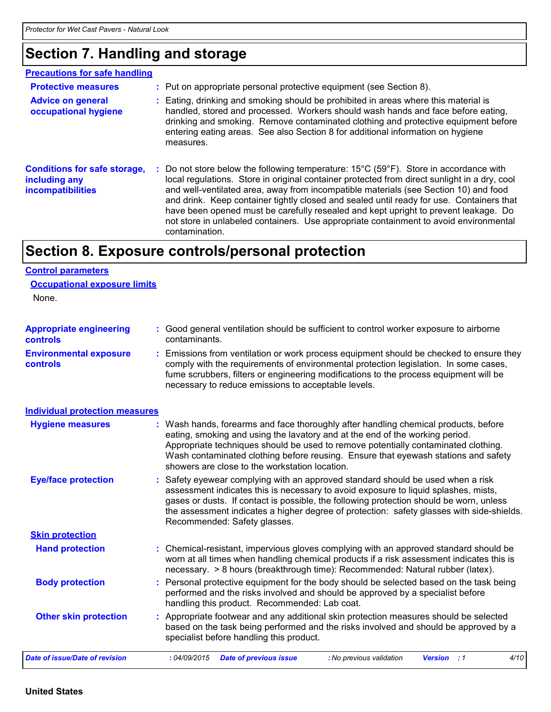## **Section 7. Handling and storage**

| <b>Precautions for safe handling</b>                                      |                                                                                                                                                                                                                                                                                                                                                                                                                                                                                                                                                                                                |
|---------------------------------------------------------------------------|------------------------------------------------------------------------------------------------------------------------------------------------------------------------------------------------------------------------------------------------------------------------------------------------------------------------------------------------------------------------------------------------------------------------------------------------------------------------------------------------------------------------------------------------------------------------------------------------|
| <b>Protective measures</b>                                                | : Put on appropriate personal protective equipment (see Section 8).                                                                                                                                                                                                                                                                                                                                                                                                                                                                                                                            |
| <b>Advice on general</b><br>occupational hygiene                          | Eating, drinking and smoking should be prohibited in areas where this material is<br>handled, stored and processed. Workers should wash hands and face before eating,<br>drinking and smoking. Remove contaminated clothing and protective equipment before<br>entering eating areas. See also Section 8 for additional information on hygiene<br>measures.                                                                                                                                                                                                                                    |
| <b>Conditions for safe storage,</b><br>including any<br>incompatibilities | Do not store below the following temperature: $15^{\circ}$ C (59 $^{\circ}$ F). Store in accordance with<br>local regulations. Store in original container protected from direct sunlight in a dry, cool<br>and well-ventilated area, away from incompatible materials (see Section 10) and food<br>and drink. Keep container tightly closed and sealed until ready for use. Containers that<br>have been opened must be carefully resealed and kept upright to prevent leakage. Do<br>not store in unlabeled containers. Use appropriate containment to avoid environmental<br>contamination. |

## **Section 8. Exposure controls/personal protection**

#### **Control parameters**

None.

| <b>Appropriate engineering</b><br><b>controls</b> | : Good general ventilation should be sufficient to control worker exposure to airborne<br>contaminants.                                                                                                                                                                                                                                                                                           |  |  |  |
|---------------------------------------------------|---------------------------------------------------------------------------------------------------------------------------------------------------------------------------------------------------------------------------------------------------------------------------------------------------------------------------------------------------------------------------------------------------|--|--|--|
| <b>Environmental exposure</b><br><b>controls</b>  | : Emissions from ventilation or work process equipment should be checked to ensure they<br>comply with the requirements of environmental protection legislation. In some cases,<br>fume scrubbers, filters or engineering modifications to the process equipment will be<br>necessary to reduce emissions to acceptable levels.                                                                   |  |  |  |
| <b>Individual protection measures</b>             |                                                                                                                                                                                                                                                                                                                                                                                                   |  |  |  |
| <b>Hygiene measures</b>                           | : Wash hands, forearms and face thoroughly after handling chemical products, before<br>eating, smoking and using the lavatory and at the end of the working period.<br>Appropriate techniques should be used to remove potentially contaminated clothing.<br>Wash contaminated clothing before reusing. Ensure that eyewash stations and safety<br>showers are close to the workstation location. |  |  |  |
| <b>Eye/face protection</b>                        | : Safety eyewear complying with an approved standard should be used when a risk<br>assessment indicates this is necessary to avoid exposure to liquid splashes, mists,<br>gases or dusts. If contact is possible, the following protection should be worn, unless<br>the assessment indicates a higher degree of protection: safety glasses with side-shields.<br>Recommended: Safety glasses.    |  |  |  |
| <b>Skin protection</b>                            |                                                                                                                                                                                                                                                                                                                                                                                                   |  |  |  |
| <b>Hand protection</b>                            | : Chemical-resistant, impervious gloves complying with an approved standard should be<br>worn at all times when handling chemical products if a risk assessment indicates this is<br>necessary. > 8 hours (breakthrough time): Recommended: Natural rubber (latex).                                                                                                                               |  |  |  |
| <b>Body protection</b>                            | : Personal protective equipment for the body should be selected based on the task being<br>performed and the risks involved and should be approved by a specialist before<br>handling this product. Recommended: Lab coat.                                                                                                                                                                        |  |  |  |
| <b>Other skin protection</b>                      | : Appropriate footwear and any additional skin protection measures should be selected<br>based on the task being performed and the risks involved and should be approved by a<br>specialist before handling this product.                                                                                                                                                                         |  |  |  |
| <b>Date of issue/Date of revision</b>             | 4/10<br>:04/09/2015<br><b>Date of previous issue</b><br>: No previous validation<br><b>Version</b> : 1                                                                                                                                                                                                                                                                                            |  |  |  |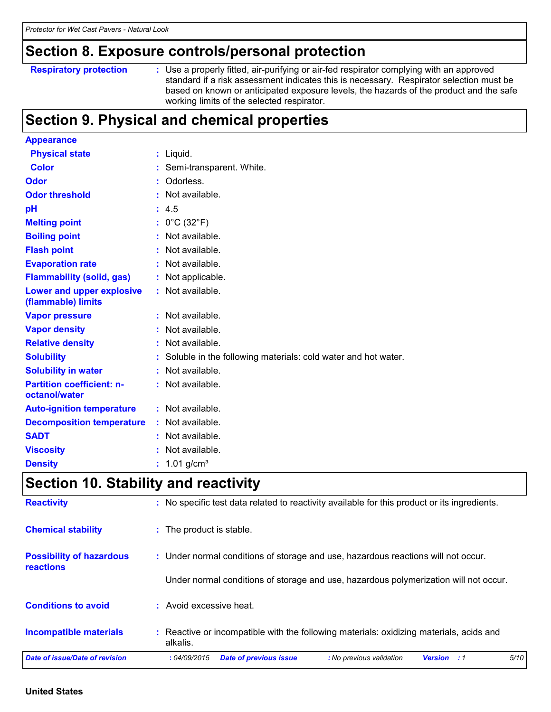### **Section 8. Exposure controls/personal protection**

```
Respiratory protection :
```
Use a properly fitted, air-purifying or air-fed respirator complying with an approved standard if a risk assessment indicates this is necessary. Respirator selection must be based on known or anticipated exposure levels, the hazards of the product and the safe working limits of the selected respirator.

## **Section 9. Physical and chemical properties**

| <b>Appearance</b>                                 |    |                                                               |
|---------------------------------------------------|----|---------------------------------------------------------------|
| <b>Physical state</b>                             |    | $:$ Liquid.                                                   |
| <b>Color</b>                                      |    | : Semi-transparent. White.                                    |
| Odor                                              |    | Odorless.                                                     |
| <b>Odor threshold</b>                             |    | Not available.                                                |
| pH                                                |    | : 4.5                                                         |
| <b>Melting point</b>                              |    | : $0^{\circ}$ C (32 $^{\circ}$ F)                             |
| <b>Boiling point</b>                              |    | Not available.                                                |
| <b>Flash point</b>                                |    | Not available.                                                |
| <b>Evaporation rate</b>                           |    | Not available.                                                |
| <b>Flammability (solid, gas)</b>                  |    | : Not applicable.                                             |
| Lower and upper explosive<br>(flammable) limits   |    | : Not available.                                              |
| <b>Vapor pressure</b>                             |    | : Not available.                                              |
| <b>Vapor density</b>                              |    | Not available.                                                |
| <b>Relative density</b>                           | ÷. | Not available.                                                |
| <b>Solubility</b>                                 |    | Soluble in the following materials: cold water and hot water. |
| <b>Solubility in water</b>                        |    | : Not available.                                              |
| <b>Partition coefficient: n-</b><br>octanol/water |    | : Not available.                                              |
| <b>Auto-ignition temperature</b>                  |    | : Not available.                                              |
| <b>Decomposition temperature</b>                  |    | Not available.                                                |
| <b>SADT</b>                                       |    | Not available.                                                |
| <b>Viscosity</b>                                  |    | Not available.                                                |
| <b>Density</b>                                    |    | : $1.01$ g/cm <sup>3</sup>                                    |

### **Section 10. Stability and reactivity**

| <b>Reactivity</b>                                   | : No specific test data related to reactivity available for this product or its ingredients.           |
|-----------------------------------------------------|--------------------------------------------------------------------------------------------------------|
| <b>Chemical stability</b>                           | : The product is stable.                                                                               |
| <b>Possibility of hazardous</b><br><b>reactions</b> | : Under normal conditions of storage and use, hazardous reactions will not occur.                      |
|                                                     | Under normal conditions of storage and use, hazardous polymerization will not occur.                   |
| <b>Conditions to avoid</b>                          | : Avoid excessive heat.                                                                                |
| <b>Incompatible materials</b>                       | : Reactive or incompatible with the following materials: oxidizing materials, acids and<br>alkalis.    |
| Date of issue/Date of revision                      | 5/10<br><b>Date of previous issue</b><br>: No previous validation<br>:04/09/2015<br><b>Version</b> : 1 |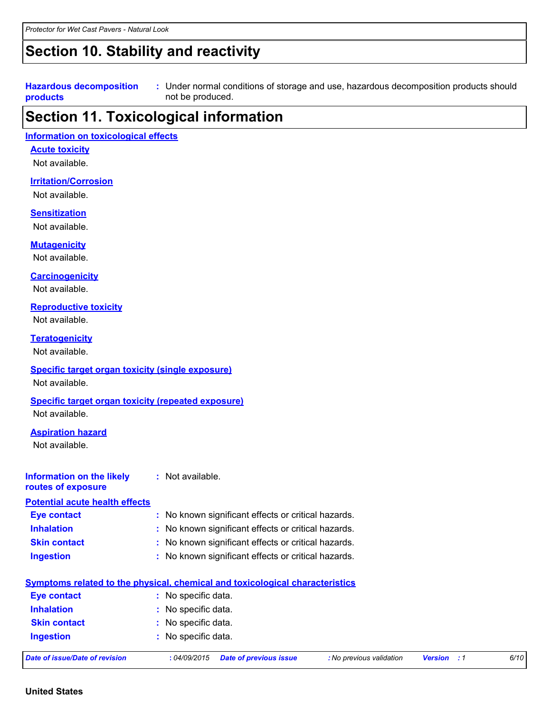### **Section 10. Stability and reactivity**

#### **Hazardous decomposition products**

Under normal conditions of storage and use, hazardous decomposition products should **:** not be produced.

### **Section 11. Toxicological information**

#### **Information on toxicological effects**

#### **Acute toxicity**

Not available.

#### **Irritation/Corrosion**

Not available.

#### **Sensitization**

Not available.

#### **Mutagenicity**

Not available.

#### **Carcinogenicity**

Not available.

#### **Reproductive toxicity**

Not available.

#### **Teratogenicity**

Not available.

#### **Specific target organ toxicity (single exposure)**

Not available.

#### **Specific target organ toxicity (repeated exposure)**

Not available.

#### **Aspiration hazard**

Not available.

#### **Information on the likely routes of exposure :** Not available.

#### **Eye contact :** No known significant effects or critical hazards. **Potential acute health effects**

| <b>Eve contact</b>  | : No known significant effects or critical hazards. |
|---------------------|-----------------------------------------------------|
| <b>Inhalation</b>   | : No known significant effects or critical hazards. |
| <b>Skin contact</b> | : No known significant effects or critical hazards. |

**Ingestion :** No known significant effects or critical hazards.

| <b>Eye contact</b>  | : No specific data. |
|---------------------|---------------------|
| <b>Inhalation</b>   | : No specific data. |
| <b>Skin contact</b> | : No specific data. |
| <b>Ingestion</b>    | : No specific data. |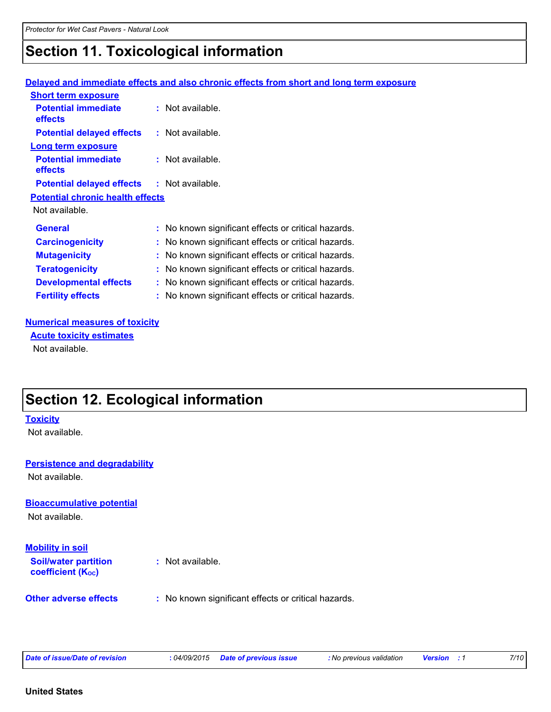## **Section 11. Toxicological information**

#### **Delayed and immediate effects and also chronic effects from short and long term exposure**

| <b>Short term exposure</b>                        |                                                     |
|---------------------------------------------------|-----------------------------------------------------|
| <b>Potential immediate</b><br>effects             | : Not available.                                    |
| <b>Potential delayed effects</b>                  | $:$ Not available.                                  |
| <b>Long term exposure</b>                         |                                                     |
| <b>Potential immediate</b><br>effects             | $:$ Not available.                                  |
| <b>Potential delayed effects : Not available.</b> |                                                     |
| <b>Potential chronic health effects</b>           |                                                     |
| Not available.                                    |                                                     |
| <b>General</b>                                    | : No known significant effects or critical hazards. |
| <b>Carcinogenicity</b>                            | : No known significant effects or critical hazards. |
| <b>Mutagenicity</b>                               | : No known significant effects or critical hazards. |
| <b>Teratogenicity</b>                             | : No known significant effects or critical hazards. |
| <b>Developmental effects</b>                      | No known significant effects or critical hazards.   |
| <b>Fertility effects</b>                          | No known significant effects or critical hazards.   |

#### **Numerical measures of toxicity**

Not available. **Acute toxicity estimates**

## **Section 12. Ecological information**

## **Bioaccumulative potential Other adverse effects** : No known significant effects or critical hazards. Not available. **Toxicity** Not available. **Persistence and degradability Soil/water partition coefficient (Koc) :** Not available. **Mobility in soil** Not available.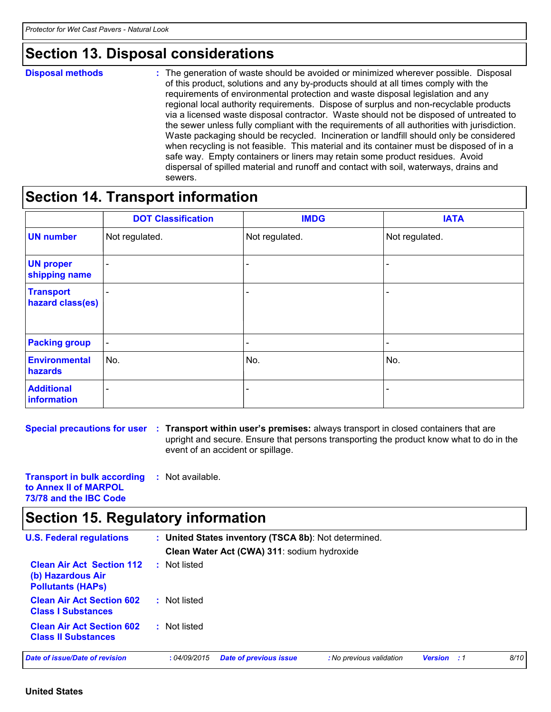### **Section 13. Disposal considerations**

|  | <b>Disposal methods</b> |  |
|--|-------------------------|--|
|  |                         |  |

**Disposal methods** : The generation of waste should be avoided or minimized wherever possible. Disposal of this product, solutions and any by-products should at all times comply with the requirements of environmental protection and waste disposal legislation and any regional local authority requirements. Dispose of surplus and non-recyclable products via a licensed waste disposal contractor. Waste should not be disposed of untreated to the sewer unless fully compliant with the requirements of all authorities with jurisdiction. Waste packaging should be recycled. Incineration or landfill should only be considered when recycling is not feasible. This material and its container must be disposed of in a safe way. Empty containers or liners may retain some product residues. Avoid dispersal of spilled material and runoff and contact with soil, waterways, drains and sewers.

### **Section 14. Transport information**

|                                      | <b>DOT Classification</b> | <b>IMDG</b>    | <b>IATA</b>              |
|--------------------------------------|---------------------------|----------------|--------------------------|
| <b>UN number</b>                     | Not regulated.            | Not regulated. | Not regulated.           |
| <b>UN proper</b><br>shipping name    | -                         |                |                          |
| <b>Transport</b><br>hazard class(es) | $\overline{\phantom{a}}$  |                | $\overline{\phantom{0}}$ |
| <b>Packing group</b>                 | $\overline{\phantom{a}}$  |                | $\overline{\phantom{0}}$ |
| Environmental<br>hazards             | No.                       | No.            | No.                      |
| <b>Additional</b><br>information     | $\overline{\phantom{0}}$  |                |                          |

**Special precautions for user Transport within user's premises:** always transport in closed containers that are **:** upright and secure. Ensure that persons transporting the product know what to do in the event of an accident or spillage.

**Transport in bulk according to Annex II of MARPOL 73/78 and the IBC Code :** Not available.

## **Section 15. Regulatory information**

| <b>U.S. Federal regulations</b>                                                   |              | : United States inventory (TSCA 8b): Not determined.<br>Clean Water Act (CWA) 311: sodium hydroxide |                          |                    |      |
|-----------------------------------------------------------------------------------|--------------|-----------------------------------------------------------------------------------------------------|--------------------------|--------------------|------|
| <b>Clean Air Act Section 112</b><br>(b) Hazardous Air<br><b>Pollutants (HAPS)</b> | : Not listed |                                                                                                     |                          |                    |      |
| <b>Clean Air Act Section 602</b><br><b>Class I Substances</b>                     | : Not listed |                                                                                                     |                          |                    |      |
| <b>Clean Air Act Section 602</b><br><b>Class II Substances</b>                    | : Not listed |                                                                                                     |                          |                    |      |
| Date of issue/Date of revision                                                    | :04/09/2015  | <b>Date of previous issue</b>                                                                       | : No previous validation | <b>Version</b> : 1 | 8/10 |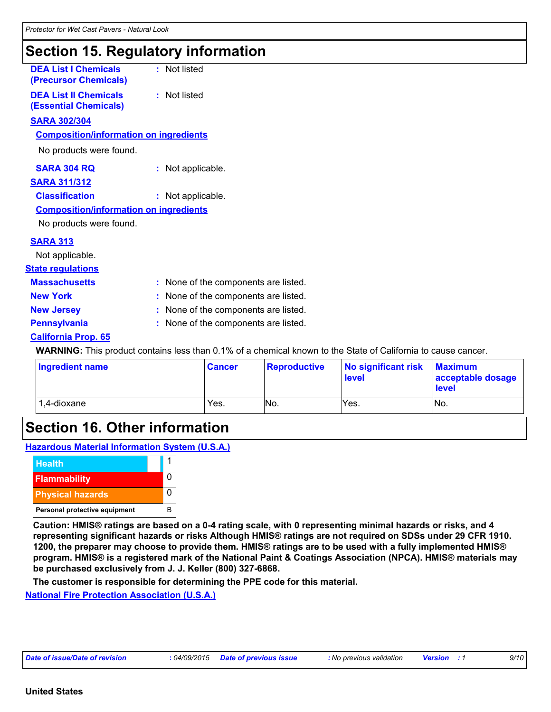## **Section 15. Regulatory information**

| <b>DEA List I Chemicals</b><br>(Precursor Chemicals)         | : Not listed                                                                                                         |
|--------------------------------------------------------------|----------------------------------------------------------------------------------------------------------------------|
| <b>DEA List II Chemicals</b><br><b>(Essential Chemicals)</b> | : Not listed                                                                                                         |
| <b>SARA 302/304</b>                                          |                                                                                                                      |
| <b>Composition/information on ingredients</b>                |                                                                                                                      |
| No products were found.                                      |                                                                                                                      |
| <b>SARA 304 RQ</b>                                           | : Not applicable.                                                                                                    |
| <b>SARA 311/312</b>                                          |                                                                                                                      |
| <b>Classification</b>                                        | : Not applicable.                                                                                                    |
| <b>Composition/information on ingredients</b>                |                                                                                                                      |
| No products were found.                                      |                                                                                                                      |
| <b>SARA 313</b>                                              |                                                                                                                      |
| Not applicable.                                              |                                                                                                                      |
| <b>State regulations</b>                                     |                                                                                                                      |
| <b>Massachusetts</b>                                         | : None of the components are listed.                                                                                 |
| <b>New York</b>                                              | : None of the components are listed.                                                                                 |
| <b>New Jersey</b>                                            | : None of the components are listed.                                                                                 |
| <b>Pennsylvania</b>                                          | : None of the components are listed.                                                                                 |
| <b>California Prop. 65</b>                                   |                                                                                                                      |
|                                                              | <b>WARNING:</b> This product contains less than 0.1% of a chemical known to the State of California to cause cancer. |
|                                                              |                                                                                                                      |

| Ingredient name | <b>Cancer</b> | <b>Reproductive</b> | No significant risk<br>level | <b>Maximum</b><br>acceptable dosage<br><b>level</b> |
|-----------------|---------------|---------------------|------------------------------|-----------------------------------------------------|
| 1,4-dioxane     | Yes.          | No.                 | Yes.                         | No.                                                 |

## **Section 16. Other information**

**Hazardous Material Information System (U.S.A.)**



**Caution: HMIS® ratings are based on a 0-4 rating scale, with 0 representing minimal hazards or risks, and 4 representing significant hazards or risks Although HMIS® ratings are not required on SDSs under 29 CFR 1910. 1200, the preparer may choose to provide them. HMIS® ratings are to be used with a fully implemented HMIS® program. HMIS® is a registered mark of the National Paint & Coatings Association (NPCA). HMIS® materials may be purchased exclusively from J. J. Keller (800) 327-6868.**

**The customer is responsible for determining the PPE code for this material.**

**National Fire Protection Association (U.S.A.)**